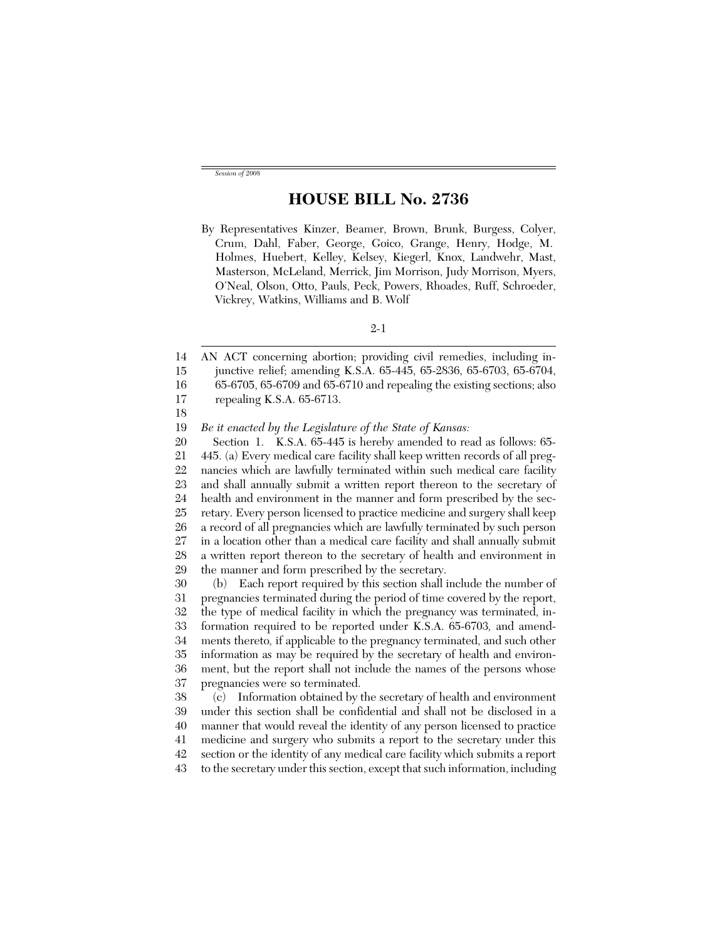*Session of 2008*

## **HOUSE BILL No. 2736**

By Representatives Kinzer, Beamer, Brown, Brunk, Burgess, Colyer, Crum, Dahl, Faber, George, Goico, Grange, Henry, Hodge, M. Holmes, Huebert, Kelley, Kelsey, Kiegerl, Knox, Landwehr, Mast, Masterson, McLeland, Merrick, Jim Morrison, Judy Morrison, Myers, O'Neal, Olson, Otto, Pauls, Peck, Powers, Rhoades, Ruff, Schroeder, Vickrey, Watkins, Williams and B. Wolf

## 2-1

14 15 16 17 18 19 20 21 22 23 24 25 26 27 28 29 30 31 32 33 34 35 36 37 38 39 40 41 42 AN ACT concerning abortion; providing civil remedies, including injunctive relief; amending K.S.A. 65-445, 65-2836, 65-6703, 65-6704, 65-6705, 65-6709 and 65-6710 and repealing the existing sections; also repealing K.S.A. 65-6713. *Be it enacted by the Legislature of the State of Kansas:* Section 1. K.S.A. 65-445 is hereby amended to read as follows: 65- 445. (a) Every medical care facility shall keep written records of all pregnancies which are lawfully terminated within such medical care facility and shall annually submit a written report thereon to the secretary of health and environment in the manner and form prescribed by the secretary. Every person licensed to practice medicine and surgery shall keep a record of all pregnancies which are lawfully terminated by such person in a location other than a medical care facility and shall annually submit a written report thereon to the secretary of health and environment in the manner and form prescribed by the secretary. (b) Each report required by this section shall include the number of pregnancies terminated during the period of time covered by the report, the type of medical facility in which the pregnancy was terminated, information required to be reported under K.S.A. 65-6703*,* and amendments thereto*,* if applicable to the pregnancy terminated, and such other information as may be required by the secretary of health and environment, but the report shall not include the names of the persons whose pregnancies were so terminated. (c) Information obtained by the secretary of health and environment under this section shall be confidential and shall not be disclosed in a manner that would reveal the identity of any person licensed to practice medicine and surgery who submits a report to the secretary under this section or the identity of any medical care facility which submits a report

43 to the secretary under this section, except that such information, including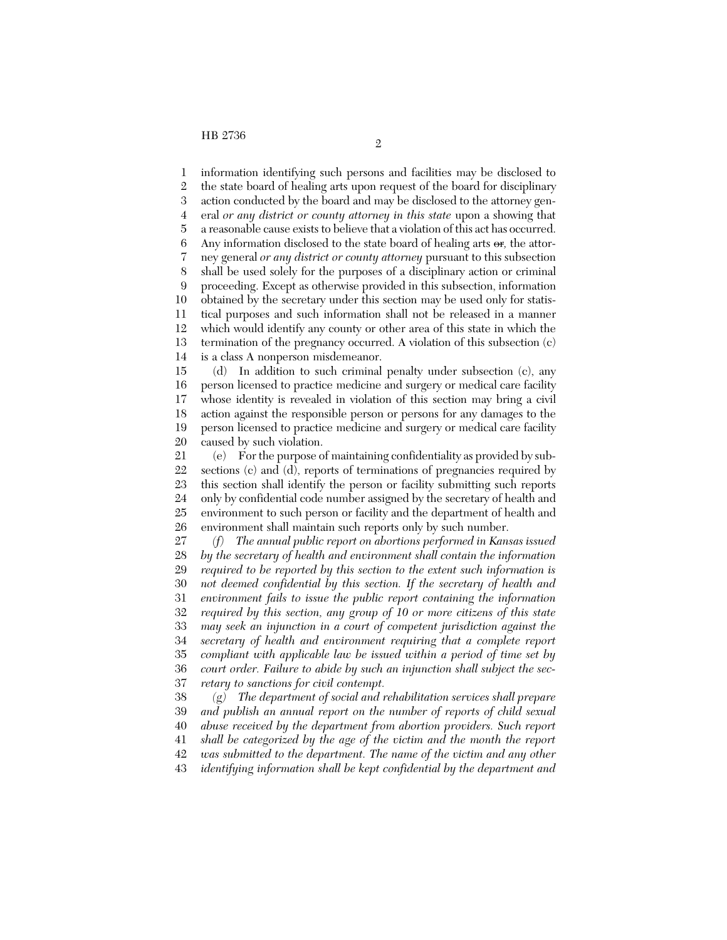1 2 3 4 5 6 7 8 9 10 11 12 13 14 information identifying such persons and facilities may be disclosed to the state board of healing arts upon request of the board for disciplinary action conducted by the board and may be disclosed to the attorney general *or any district or county attorney in this state* upon a showing that a reasonable cause exists to believe that a violation of this act has occurred. Any information disclosed to the state board of healing arts  $\sigma$ *r*, the attorney general *or any district or county attorney* pursuant to this subsection shall be used solely for the purposes of a disciplinary action or criminal proceeding. Except as otherwise provided in this subsection, information obtained by the secretary under this section may be used only for statistical purposes and such information shall not be released in a manner which would identify any county or other area of this state in which the termination of the pregnancy occurred. A violation of this subsection (c) is a class A nonperson misdemeanor.

15 16 17 18 19 20 (d) In addition to such criminal penalty under subsection (c), any person licensed to practice medicine and surgery or medical care facility whose identity is revealed in violation of this section may bring a civil action against the responsible person or persons for any damages to the person licensed to practice medicine and surgery or medical care facility caused by such violation.

21 22 23 24 25 26 (e) For the purpose of maintaining confidentiality as provided by subsections (c) and (d), reports of terminations of pregnancies required by this section shall identify the person or facility submitting such reports only by confidential code number assigned by the secretary of health and environment to such person or facility and the department of health and environment shall maintain such reports only by such number.

27 28 29 30 31 32 33 34 35 36 37 *(f) The annual public report on abortions performed in Kansas issued by the secretary of health and environment shall contain the information required to be reported by this section to the extent such information is not deemed confidential by this section. If the secretary of health and environment fails to issue the public report containing the information required by this section, any group of 10 or more citizens of this state may seek an injunction in a court of competent jurisdiction against the secretary of health and environment requiring that a complete report compliant with applicable law be issued within a period of time set by court order. Failure to abide by such an injunction shall subject the secretary to sanctions for civil contempt.*

38 39 40 41 42 43 *(g) The department of social and rehabilitation services shall prepare and publish an annual report on the number of reports of child sexual abuse received by the department from abortion providers. Such report shall be categorized by the age of the victim and the month the report was submitted to the department. The name of the victim and any other identifying information shall be kept confidential by the department and*

2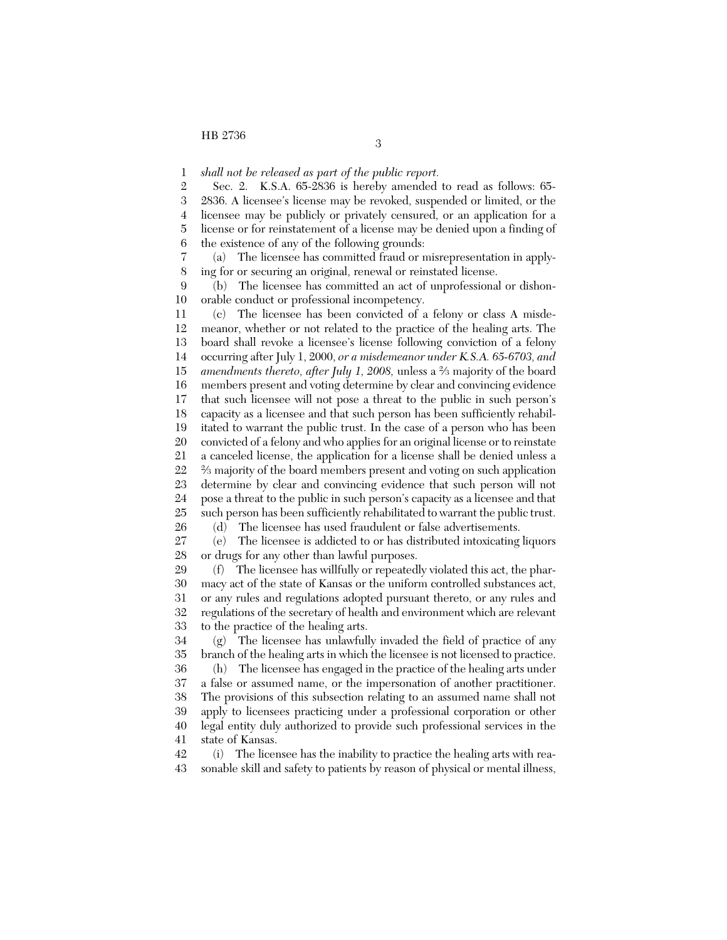1 *shall not be released as part of the public report.*

2 3 4 5 6 Sec. 2. K.S.A. 65-2836 is hereby amended to read as follows: 65- 2836. A licensee's license may be revoked, suspended or limited, or the licensee may be publicly or privately censured, or an application for a license or for reinstatement of a license may be denied upon a finding of the existence of any of the following grounds:

(a) The licensee has committed fraud or misrepresentation in applying for or securing an original, renewal or reinstated license.

9 10 (b) The licensee has committed an act of unprofessional or dishonorable conduct or professional incompetency.

11 12 13 14 15 16 17 18 19 20 21 22 23 24 25 26 (c) The licensee has been convicted of a felony or class A misdemeanor, whether or not related to the practice of the healing arts. The board shall revoke a licensee's license following conviction of a felony occurring after July 1, 2000, *or a misdemeanor under K.S.A. 65-6703, and amendments thereto, after July 1, 2008,* unless a <sup>2</sup> ⁄3 majority of the board members present and voting determine by clear and convincing evidence that such licensee will not pose a threat to the public in such person's capacity as a licensee and that such person has been sufficiently rehabilitated to warrant the public trust. In the case of a person who has been convicted of a felony and who applies for an original license or to reinstate a canceled license, the application for a license shall be denied unless a 2 ⁄3 majority of the board members present and voting on such application determine by clear and convincing evidence that such person will not pose a threat to the public in such person's capacity as a licensee and that such person has been sufficiently rehabilitated to warrant the public trust.

(d) The licensee has used fraudulent or false advertisements.

27 28 (e) The licensee is addicted to or has distributed intoxicating liquors or drugs for any other than lawful purposes.

29 30 31 32 33 (f) The licensee has willfully or repeatedly violated this act, the pharmacy act of the state of Kansas or the uniform controlled substances act, or any rules and regulations adopted pursuant thereto, or any rules and regulations of the secretary of health and environment which are relevant to the practice of the healing arts.

34 35 (g) The licensee has unlawfully invaded the field of practice of any branch of the healing arts in which the licensee is not licensed to practice.

36 37 38 39 40 41 (h) The licensee has engaged in the practice of the healing arts under a false or assumed name, or the impersonation of another practitioner. The provisions of this subsection relating to an assumed name shall not apply to licensees practicing under a professional corporation or other legal entity duly authorized to provide such professional services in the state of Kansas.

42 43 (i) The licensee has the inability to practice the healing arts with reasonable skill and safety to patients by reason of physical or mental illness,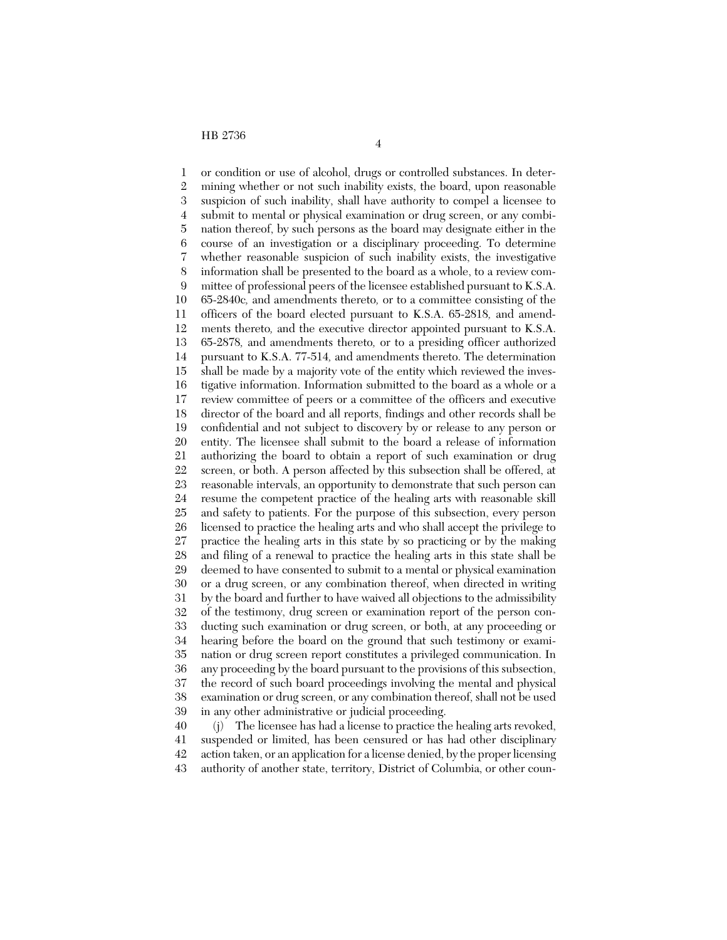HB 2736

1 2 3 4 5 6 7 8 9 10 11 12 13 14 15 16 17 18 19 20 21 22 23 24 25 26 27 28 29 30 31 32 33 34 35 36 37 38 39 or condition or use of alcohol, drugs or controlled substances. In determining whether or not such inability exists, the board, upon reasonable suspicion of such inability, shall have authority to compel a licensee to submit to mental or physical examination or drug screen, or any combination thereof, by such persons as the board may designate either in the course of an investigation or a disciplinary proceeding. To determine whether reasonable suspicion of such inability exists, the investigative information shall be presented to the board as a whole, to a review committee of professional peers of the licensee established pursuant to K.S.A. 65-2840c*,* and amendments thereto*,* or to a committee consisting of the officers of the board elected pursuant to K.S.A. 65-2818*,* and amendments thereto*,* and the executive director appointed pursuant to K.S.A. 65-2878*,* and amendments thereto*,* or to a presiding officer authorized pursuant to K.S.A. 77-514*,* and amendments thereto. The determination shall be made by a majority vote of the entity which reviewed the investigative information. Information submitted to the board as a whole or a review committee of peers or a committee of the officers and executive director of the board and all reports, findings and other records shall be confidential and not subject to discovery by or release to any person or entity. The licensee shall submit to the board a release of information authorizing the board to obtain a report of such examination or drug screen, or both. A person affected by this subsection shall be offered, at reasonable intervals, an opportunity to demonstrate that such person can resume the competent practice of the healing arts with reasonable skill and safety to patients. For the purpose of this subsection, every person licensed to practice the healing arts and who shall accept the privilege to practice the healing arts in this state by so practicing or by the making and filing of a renewal to practice the healing arts in this state shall be deemed to have consented to submit to a mental or physical examination or a drug screen, or any combination thereof, when directed in writing by the board and further to have waived all objections to the admissibility of the testimony, drug screen or examination report of the person conducting such examination or drug screen, or both, at any proceeding or hearing before the board on the ground that such testimony or examination or drug screen report constitutes a privileged communication. In any proceeding by the board pursuant to the provisions of this subsection, the record of such board proceedings involving the mental and physical examination or drug screen, or any combination thereof, shall not be used in any other administrative or judicial proceeding.

40 41 42 43 (j) The licensee has had a license to practice the healing arts revoked, suspended or limited, has been censured or has had other disciplinary action taken, or an application for a license denied, by the proper licensing authority of another state, territory, District of Columbia, or other coun-

4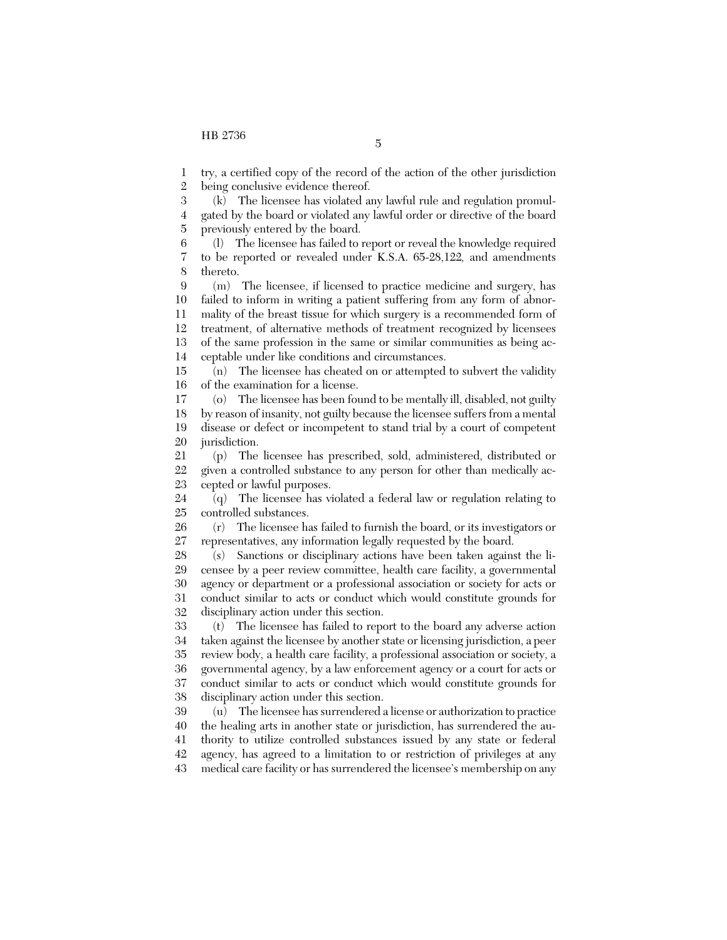1 2 try, a certified copy of the record of the action of the other jurisdiction being conclusive evidence thereof.

3 4 5 (k) The licensee has violated any lawful rule and regulation promulgated by the board or violated any lawful order or directive of the board previously entered by the board.

6 7 8 (l) The licensee has failed to report or reveal the knowledge required to be reported or revealed under K.S.A. 65-28,122*,* and amendments thereto.

 $\mathbf{Q}$ 10 11 12 13 14 (m) The licensee, if licensed to practice medicine and surgery, has failed to inform in writing a patient suffering from any form of abnormality of the breast tissue for which surgery is a recommended form of treatment, of alternative methods of treatment recognized by licensees of the same profession in the same or similar communities as being acceptable under like conditions and circumstances.

15 16 (n) The licensee has cheated on or attempted to subvert the validity of the examination for a license.

17 18 19 20 (o) The licensee has been found to be mentally ill, disabled, not guilty by reason of insanity, not guilty because the licensee suffers from a mental disease or defect or incompetent to stand trial by a court of competent jurisdiction.

21 22 23 (p) The licensee has prescribed, sold, administered, distributed or given a controlled substance to any person for other than medically accepted or lawful purposes.

24 25 (q) The licensee has violated a federal law or regulation relating to controlled substances.

26 27 (r) The licensee has failed to furnish the board, or its investigators or representatives, any information legally requested by the board.

28 29 30 31 32 (s) Sanctions or disciplinary actions have been taken against the licensee by a peer review committee, health care facility, a governmental agency or department or a professional association or society for acts or conduct similar to acts or conduct which would constitute grounds for disciplinary action under this section.

33 34 35 36 37 38 (t) The licensee has failed to report to the board any adverse action taken against the licensee by another state or licensing jurisdiction, a peer review body, a health care facility, a professional association or society, a governmental agency, by a law enforcement agency or a court for acts or conduct similar to acts or conduct which would constitute grounds for disciplinary action under this section.

39 40 41 42 43 (u) The licensee has surrendered a license or authorization to practice the healing arts in another state or jurisdiction, has surrendered the authority to utilize controlled substances issued by any state or federal agency, has agreed to a limitation to or restriction of privileges at any medical care facility or has surrendered the licensee's membership on any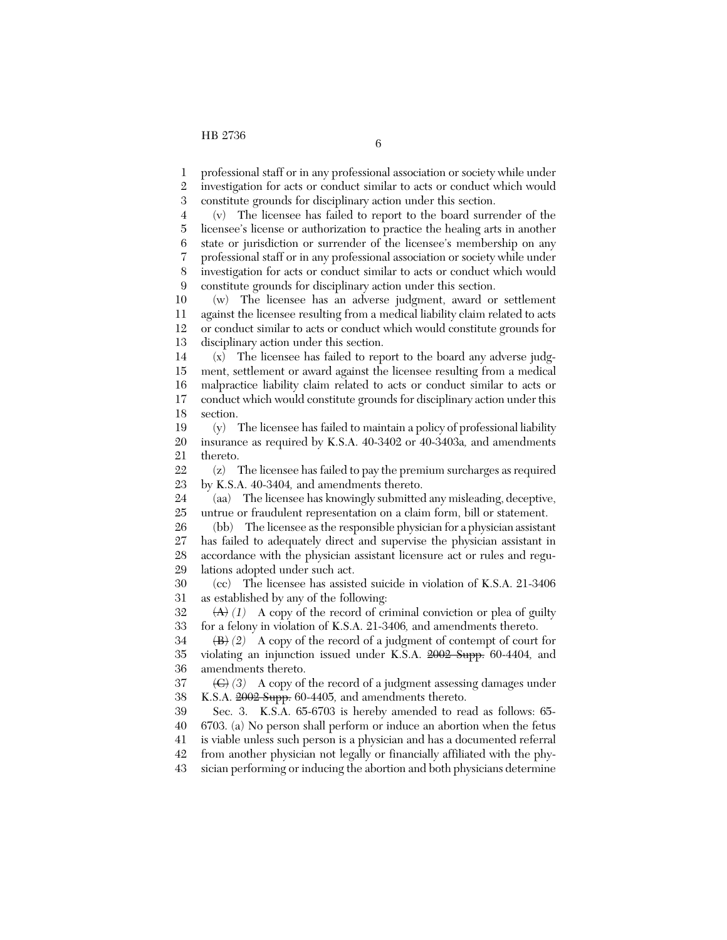1 2 professional staff or in any professional association or society while under investigation for acts or conduct similar to acts or conduct which would

3 constitute grounds for disciplinary action under this section.

4 5 6 7 8 9 (v) The licensee has failed to report to the board surrender of the licensee's license or authorization to practice the healing arts in another state or jurisdiction or surrender of the licensee's membership on any professional staff or in any professional association or society while under investigation for acts or conduct similar to acts or conduct which would constitute grounds for disciplinary action under this section.

10 11 12 13 (w) The licensee has an adverse judgment, award or settlement against the licensee resulting from a medical liability claim related to acts or conduct similar to acts or conduct which would constitute grounds for disciplinary action under this section.

14 15 16 17 18 (x) The licensee has failed to report to the board any adverse judgment, settlement or award against the licensee resulting from a medical malpractice liability claim related to acts or conduct similar to acts or conduct which would constitute grounds for disciplinary action under this section.

19 20 21 (y) The licensee has failed to maintain a policy of professional liability insurance as required by K.S.A. 40-3402 or 40-3403a*,* and amendments thereto.

22 23 (z) The licensee has failed to pay the premium surcharges as required by K.S.A. 40-3404*,* and amendments thereto.

24 25 (aa) The licensee has knowingly submitted any misleading, deceptive, untrue or fraudulent representation on a claim form, bill or statement.

26 27 28 29 (bb) The licensee as the responsible physician for a physician assistant has failed to adequately direct and supervise the physician assistant in accordance with the physician assistant licensure act or rules and regulations adopted under such act.

30 31 (cc) The licensee has assisted suicide in violation of K.S.A. 21-3406 as established by any of the following:

32 33  $\langle A \rangle$  (1) A copy of the record of criminal conviction or plea of guilty for a felony in violation of K.S.A. 21-3406*,* and amendments thereto.

34 35 36 (B) *(2)* A copy of the record of a judgment of contempt of court for violating an injunction issued under K.S.A. 2002 Supp. 60-4404*,* and amendments thereto.

37 38 (C) *(3)* A copy of the record of a judgment assessing damages under K.S.A. 2002 Supp. 60-4405*,* and amendments thereto.

39 40 41 Sec. 3. K.S.A. 65-6703 is hereby amended to read as follows: 65- 6703. (a) No person shall perform or induce an abortion when the fetus is viable unless such person is a physician and has a documented referral

42 from another physician not legally or financially affiliated with the phy-

43 sician performing or inducing the abortion and both physicians determine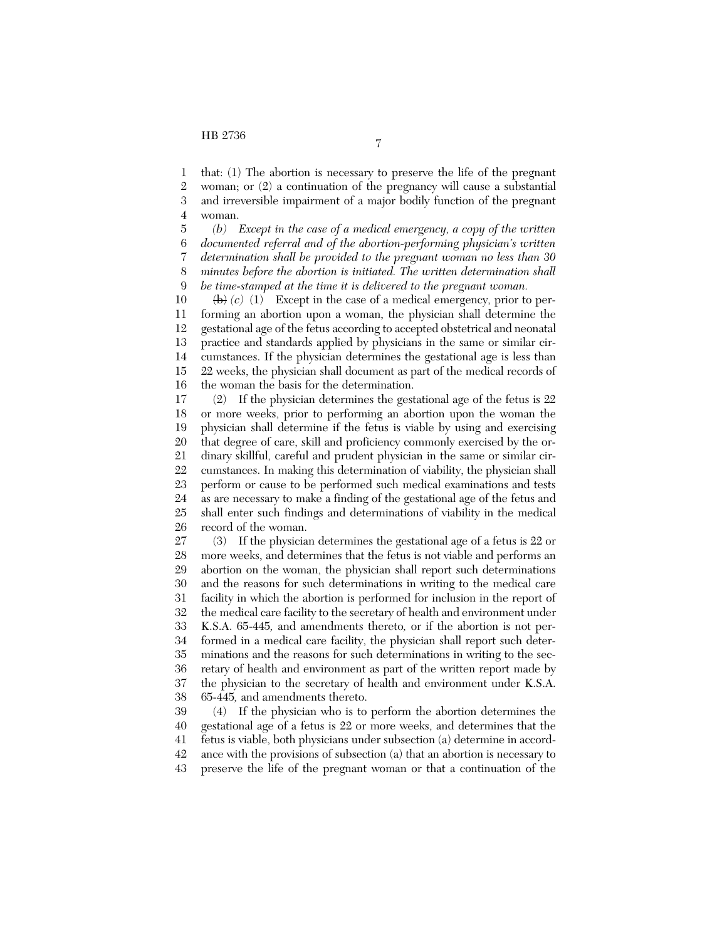1 2 3 4 that: (1) The abortion is necessary to preserve the life of the pregnant woman; or (2) a continuation of the pregnancy will cause a substantial and irreversible impairment of a major bodily function of the pregnant woman.

5 6 7 8 9 *(b) Except in the case of a medical emergency, a copy of the written documented referral and of the abortion-performing physician's written determination shall be provided to the pregnant woman no less than 30 minutes before the abortion is initiated. The written determination shall be time-stamped at the time it is delivered to the pregnant woman.*

10 11 12 13 14 15 16  $\langle \phi \rangle$  (c) (1) Except in the case of a medical emergency, prior to performing an abortion upon a woman, the physician shall determine the gestational age of the fetus according to accepted obstetrical and neonatal practice and standards applied by physicians in the same or similar circumstances. If the physician determines the gestational age is less than 22 weeks, the physician shall document as part of the medical records of the woman the basis for the determination.

17 18 19 20 21 22 23 24 25 26 (2) If the physician determines the gestational age of the fetus is 22 or more weeks, prior to performing an abortion upon the woman the physician shall determine if the fetus is viable by using and exercising that degree of care, skill and proficiency commonly exercised by the ordinary skillful, careful and prudent physician in the same or similar circumstances. In making this determination of viability, the physician shall perform or cause to be performed such medical examinations and tests as are necessary to make a finding of the gestational age of the fetus and shall enter such findings and determinations of viability in the medical record of the woman.

27 28 29 30 31 32 33 34 35 36 37 38 (3) If the physician determines the gestational age of a fetus is 22 or more weeks, and determines that the fetus is not viable and performs an abortion on the woman, the physician shall report such determinations and the reasons for such determinations in writing to the medical care facility in which the abortion is performed for inclusion in the report of the medical care facility to the secretary of health and environment under K.S.A. 65-445*,* and amendments thereto*,* or if the abortion is not performed in a medical care facility, the physician shall report such determinations and the reasons for such determinations in writing to the secretary of health and environment as part of the written report made by the physician to the secretary of health and environment under K.S.A. 65-445*,* and amendments thereto.

39 40 41 42 43 (4) If the physician who is to perform the abortion determines the gestational age of a fetus is 22 or more weeks, and determines that the fetus is viable, both physicians under subsection (a) determine in accordance with the provisions of subsection (a) that an abortion is necessary to preserve the life of the pregnant woman or that a continuation of the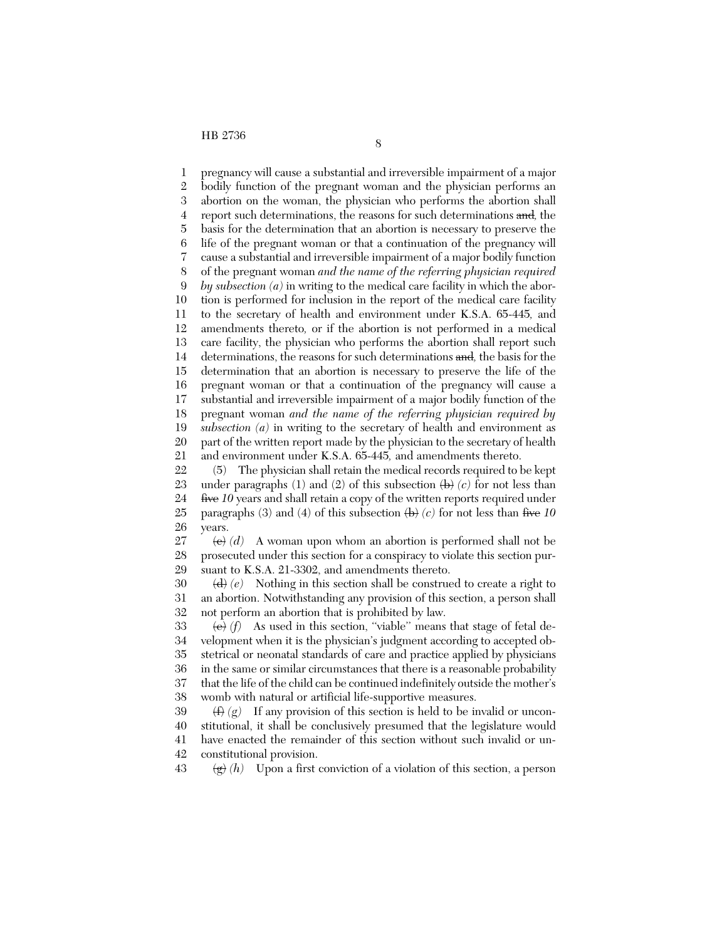HB 2736

1 2 3 4 5 6 7 8 9 10 11 12 13 14 15 16 17 18 19 20 21 pregnancy will cause a substantial and irreversible impairment of a major bodily function of the pregnant woman and the physician performs an abortion on the woman, the physician who performs the abortion shall report such determinations, the reasons for such determinations and*,* the basis for the determination that an abortion is necessary to preserve the life of the pregnant woman or that a continuation of the pregnancy will cause a substantial and irreversible impairment of a major bodily function of the pregnant woman *and the name of the referring physician required by subsection (a)* in writing to the medical care facility in which the abortion is performed for inclusion in the report of the medical care facility to the secretary of health and environment under K.S.A. 65-445*,* and amendments thereto*,* or if the abortion is not performed in a medical care facility, the physician who performs the abortion shall report such determinations, the reasons for such determinations and*,* the basis for the determination that an abortion is necessary to preserve the life of the pregnant woman or that a continuation of the pregnancy will cause a substantial and irreversible impairment of a major bodily function of the pregnant woman *and the name of the referring physician required by subsection (a)* in writing to the secretary of health and environment as part of the written report made by the physician to the secretary of health and environment under K.S.A. 65-445*,* and amendments thereto.

22 23 24 25 26 (5) The physician shall retain the medical records required to be kept under paragraphs (1) and (2) of this subsection  $\langle \phi \rangle$  *(c)* for not less than five *10* years and shall retain a copy of the written reports required under paragraphs (3) and (4) of this subsection  $\langle \phi \rangle$  *(c)* for not less than five 10 years.

27 28 29  $\left(\frac{e}{c}\right)$  *(d)* A woman upon whom an abortion is performed shall not be prosecuted under this section for a conspiracy to violate this section pursuant to K.S.A. 21-3302, and amendments thereto.

30 31 32  $\left(\frac{d}{d}\right)(e)$  Nothing in this section shall be construed to create a right to an abortion. Notwithstanding any provision of this section, a person shall not perform an abortion that is prohibited by law.

33 34 35 36 37 38  $\langle e \rangle$  *(f)* As used in this section, "viable" means that stage of fetal development when it is the physician's judgment according to accepted obstetrical or neonatal standards of care and practice applied by physicians in the same or similar circumstances that there is a reasonable probability that the life of the child can be continued indefinitely outside the mother's womb with natural or artificial life-supportive measures.

39 40 41 42  $\left(\frac{f}{f}\right)(g)$  If any provision of this section is held to be invalid or unconstitutional, it shall be conclusively presumed that the legislature would have enacted the remainder of this section without such invalid or unconstitutional provision.

43  $\langle \overline{g} \rangle$  *(h)* Upon a first conviction of a violation of this section, a person

8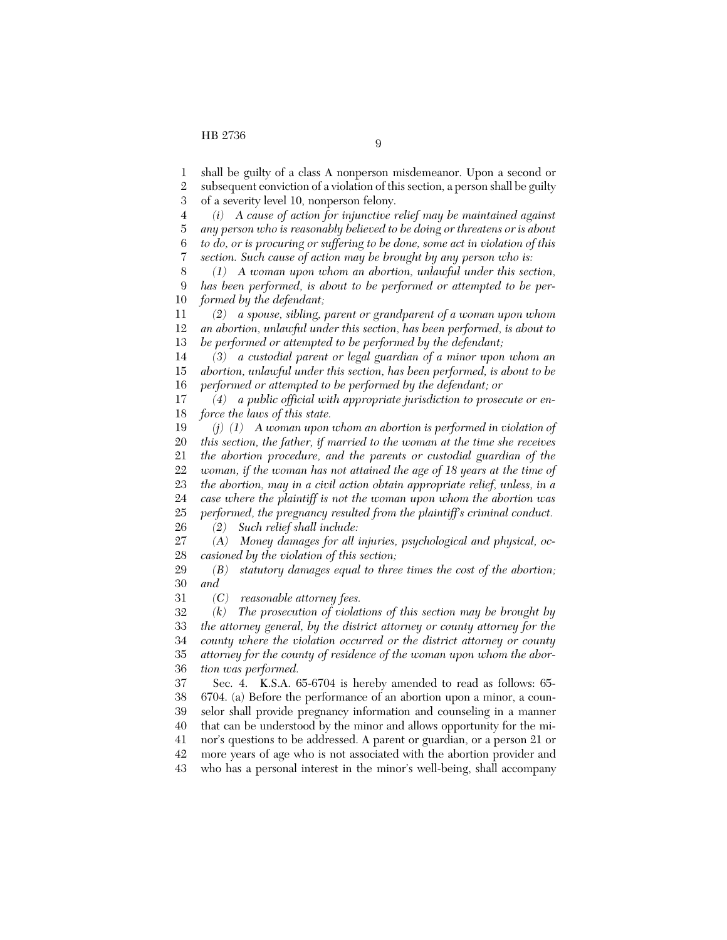1 2 3 shall be guilty of a class A nonperson misdemeanor. Upon a second or subsequent conviction of a violation of this section, a person shall be guilty of a severity level 10, nonperson felony.

4 5 6 7 *(i) A cause of action for injunctive relief may be maintained against any person who is reasonably believed to be doing or threatens or is about to do, or is procuring or suffering to be done, some act in violation of this section. Such cause of action may be brought by any person who is:*

8 9 10 *(1) A woman upon whom an abortion, unlawful under this section, has been performed, is about to be performed or attempted to be performed by the defendant;*

11 12 13 *(2) a spouse, sibling, parent or grandparent of a woman upon whom an abortion, unlawful under this section, has been performed, is about to be performed or attempted to be performed by the defendant;*

14 15 16 *(3) a custodial parent or legal guardian of a minor upon whom an abortion, unlawful under this section, has been performed, is about to be performed or attempted to be performed by the defendant; or*

17 18 *(4) a public official with appropriate jurisdiction to prosecute or enforce the laws of this state.*

19 20 21 22 23 24 25 26 *(j) (1) A woman upon whom an abortion is performed in violation of this section, the father, if married to the woman at the time she receives the abortion procedure, and the parents or custodial guardian of the woman, if the woman has not attained the age of 18 years at the time of the abortion, may in a civil action obtain appropriate relief, unless, in a case where the plaintiff is not the woman upon whom the abortion was performed, the pregnancy resulted from the plaintiff's criminal conduct. (2) Such relief shall include:*

27 28 *(A) Money damages for all injuries, psychological and physical, occasioned by the violation of this section;*

29 30 *(B) statutory damages equal to three times the cost of the abortion; and*

31 *(C) reasonable attorney fees.*

32 33 34 35 36 *(k) The prosecution of violations of this section may be brought by the attorney general, by the district attorney or county attorney for the county where the violation occurred or the district attorney or county attorney for the county of residence of the woman upon whom the abortion was performed.*

37 38 39 40 41 42 43 Sec. 4. K.S.A. 65-6704 is hereby amended to read as follows: 65- 6704. (a) Before the performance of an abortion upon a minor, a counselor shall provide pregnancy information and counseling in a manner that can be understood by the minor and allows opportunity for the minor's questions to be addressed. A parent or guardian, or a person 21 or more years of age who is not associated with the abortion provider and who has a personal interest in the minor's well-being, shall accompany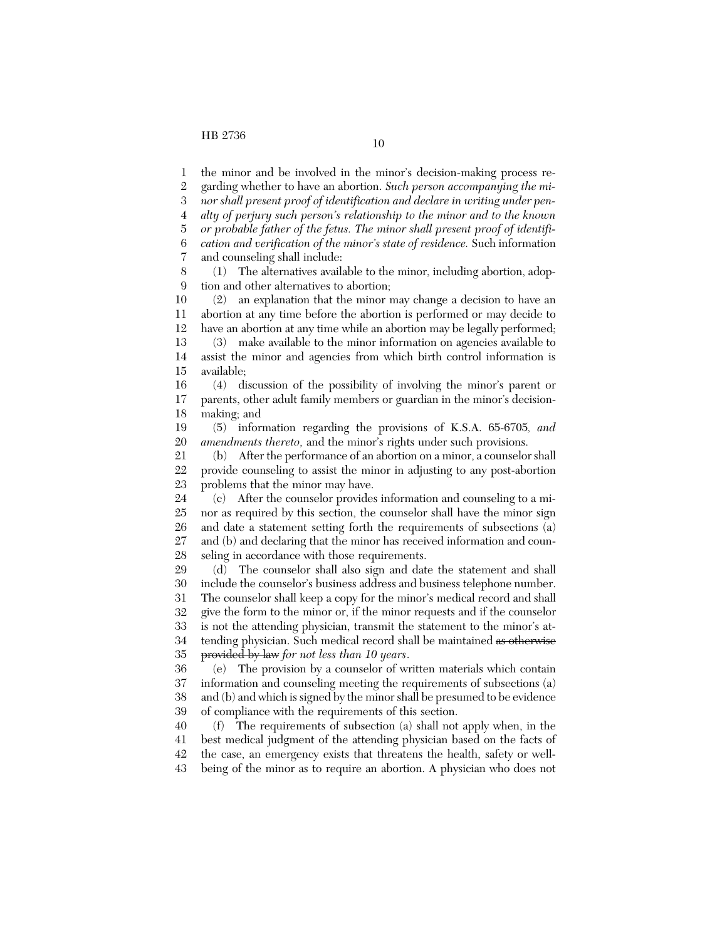2 3 4 5 6 7 8 9 10 11 12 13 14 15 the minor and be involved in the minor's decision-making process regarding whether to have an abortion. *Such person accompanying the minor shall present proof of identification and declare in writing under penalty of perjury such person's relationship to the minor and to the known or probable father of the fetus. The minor shall present proof of identification and verification of the minor's state of residence.* Such information and counseling shall include: (1) The alternatives available to the minor, including abortion, adoption and other alternatives to abortion; (2) an explanation that the minor may change a decision to have an abortion at any time before the abortion is performed or may decide to have an abortion at any time while an abortion may be legally performed; (3) make available to the minor information on agencies available to assist the minor and agencies from which birth control information is available;

16 17 18 (4) discussion of the possibility of involving the minor's parent or parents, other adult family members or guardian in the minor's decisionmaking; and

19 20 (5) information regarding the provisions of K.S.A. 65-6705*, and amendments thereto,* and the minor's rights under such provisions.

21 22 23 (b) After the performance of an abortion on a minor, a counselor shall provide counseling to assist the minor in adjusting to any post-abortion problems that the minor may have.

24 25 26 27 28 (c) After the counselor provides information and counseling to a minor as required by this section, the counselor shall have the minor sign and date a statement setting forth the requirements of subsections (a) and (b) and declaring that the minor has received information and counseling in accordance with those requirements.

29 30 31 32 33 34 35 (d) The counselor shall also sign and date the statement and shall include the counselor's business address and business telephone number. The counselor shall keep a copy for the minor's medical record and shall give the form to the minor or, if the minor requests and if the counselor is not the attending physician, transmit the statement to the minor's attending physician. Such medical record shall be maintained as otherwise provided by law *for not less than 10 years*.

36 37 38 39 (e) The provision by a counselor of written materials which contain information and counseling meeting the requirements of subsections (a) and (b) and which is signed by the minor shall be presumed to be evidence of compliance with the requirements of this section.

40 41 42 43 (f) The requirements of subsection (a) shall not apply when, in the best medical judgment of the attending physician based on the facts of the case, an emergency exists that threatens the health, safety or wellbeing of the minor as to require an abortion. A physician who does not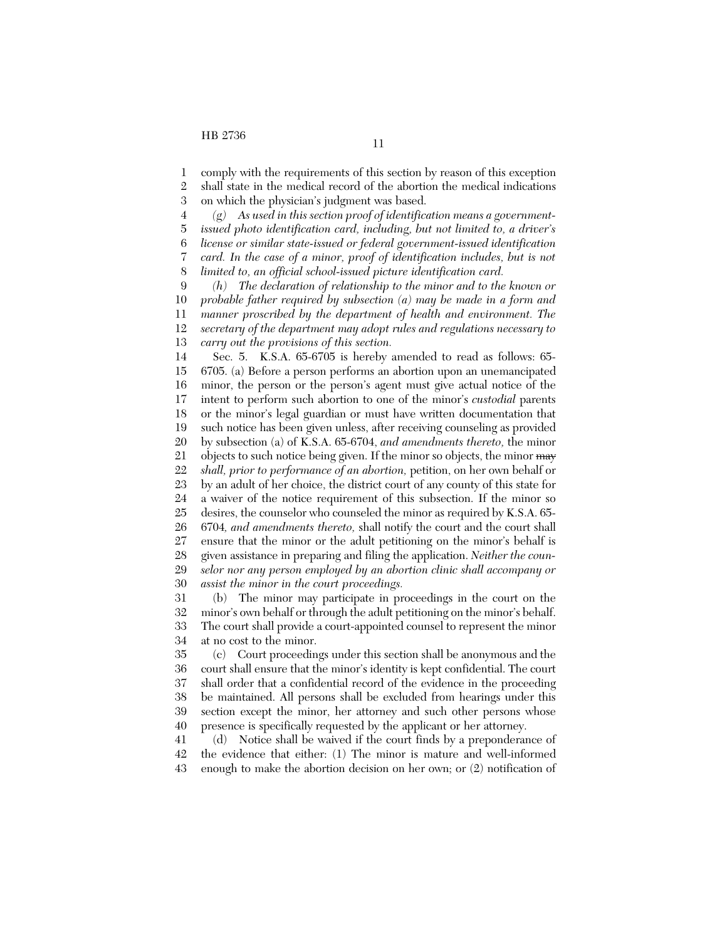1 2 3 comply with the requirements of this section by reason of this exception shall state in the medical record of the abortion the medical indications on which the physician's judgment was based.

4 5 6 7 8 *(g) As used in this section proof of identification means a governmentissued photo identification card, including, but not limited to, a driver's license or similar state-issued or federal government-issued identification card. In the case of a minor, proof of identification includes, but is not limited to, an official school-issued picture identification card.*

9 10 11 12 13 *(h) The declaration of relationship to the minor and to the known or probable father required by subsection (a) may be made in a form and manner proscribed by the department of health and environment. The secretary of the department may adopt rules and regulations necessary to carry out the provisions of this section.*

14 15 16 17 18 19 20 21 22 23 24 25 26 27 28 29 30 Sec. 5. K.S.A. 65-6705 is hereby amended to read as follows: 65- 6705. (a) Before a person performs an abortion upon an unemancipated minor, the person or the person's agent must give actual notice of the intent to perform such abortion to one of the minor's *custodial* parents or the minor's legal guardian or must have written documentation that such notice has been given unless, after receiving counseling as provided by subsection (a) of K.S.A. 65-6704, *and amendments thereto,* the minor objects to such notice being given. If the minor so objects, the minor may *shall, prior to performance of an abortion,* petition, on her own behalf or by an adult of her choice, the district court of any county of this state for a waiver of the notice requirement of this subsection. If the minor so desires, the counselor who counseled the minor as required by K.S.A. 65- 6704*, and amendments thereto,* shall notify the court and the court shall ensure that the minor or the adult petitioning on the minor's behalf is given assistance in preparing and filing the application. *Neither the counselor nor any person employed by an abortion clinic shall accompany or assist the minor in the court proceedings.*

31 32 33 34 (b) The minor may participate in proceedings in the court on the minor's own behalf or through the adult petitioning on the minor's behalf. The court shall provide a court-appointed counsel to represent the minor at no cost to the minor.

35 36 37 38 39 40 (c) Court proceedings under this section shall be anonymous and the court shall ensure that the minor's identity is kept confidential. The court shall order that a confidential record of the evidence in the proceeding be maintained. All persons shall be excluded from hearings under this section except the minor, her attorney and such other persons whose presence is specifically requested by the applicant or her attorney.

41 42 43 (d) Notice shall be waived if the court finds by a preponderance of the evidence that either: (1) The minor is mature and well-informed enough to make the abortion decision on her own; or (2) notification of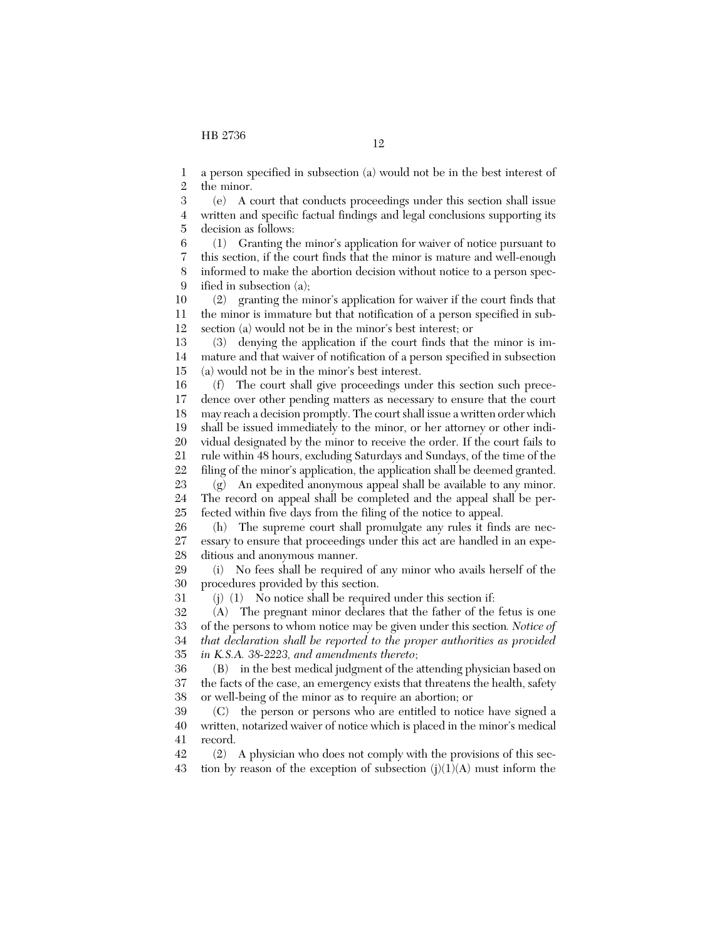1 2 a person specified in subsection (a) would not be in the best interest of the minor.

3 4 5 (e) A court that conducts proceedings under this section shall issue written and specific factual findings and legal conclusions supporting its decision as follows:

6 7 8  $\mathbf{Q}$ (1) Granting the minor's application for waiver of notice pursuant to this section, if the court finds that the minor is mature and well-enough informed to make the abortion decision without notice to a person specified in subsection (a);

10 11 12 (2) granting the minor's application for waiver if the court finds that the minor is immature but that notification of a person specified in subsection (a) would not be in the minor's best interest; or

13 14 15 (3) denying the application if the court finds that the minor is immature and that waiver of notification of a person specified in subsection (a) would not be in the minor's best interest.

16 17 18 19 20 21 22 (f) The court shall give proceedings under this section such precedence over other pending matters as necessary to ensure that the court may reach a decision promptly. The court shall issue a written order which shall be issued immediately to the minor, or her attorney or other individual designated by the minor to receive the order. If the court fails to rule within 48 hours, excluding Saturdays and Sundays, of the time of the filing of the minor's application, the application shall be deemed granted.

23 24 25 (g) An expedited anonymous appeal shall be available to any minor. The record on appeal shall be completed and the appeal shall be perfected within five days from the filing of the notice to appeal.

26 27 28 (h) The supreme court shall promulgate any rules it finds are necessary to ensure that proceedings under this act are handled in an expeditious and anonymous manner.

29 30 (i) No fees shall be required of any minor who avails herself of the procedures provided by this section.

 $(i)$  (1) No notice shall be required under this section if:

32 33 34 35 (A) The pregnant minor declares that the father of the fetus is one of the persons to whom notice may be given under this section*. Notice of that declaration shall be reported to the proper authorities as provided in K.S.A. 38-2223, and amendments thereto*;

36 37 38 (B) in the best medical judgment of the attending physician based on the facts of the case, an emergency exists that threatens the health, safety or well-being of the minor as to require an abortion; or

39 40 41 (C) the person or persons who are entitled to notice have signed a written, notarized waiver of notice which is placed in the minor's medical record.

42 43 (2) A physician who does not comply with the provisions of this section by reason of the exception of subsection  $(i)(1)(A)$  must inform the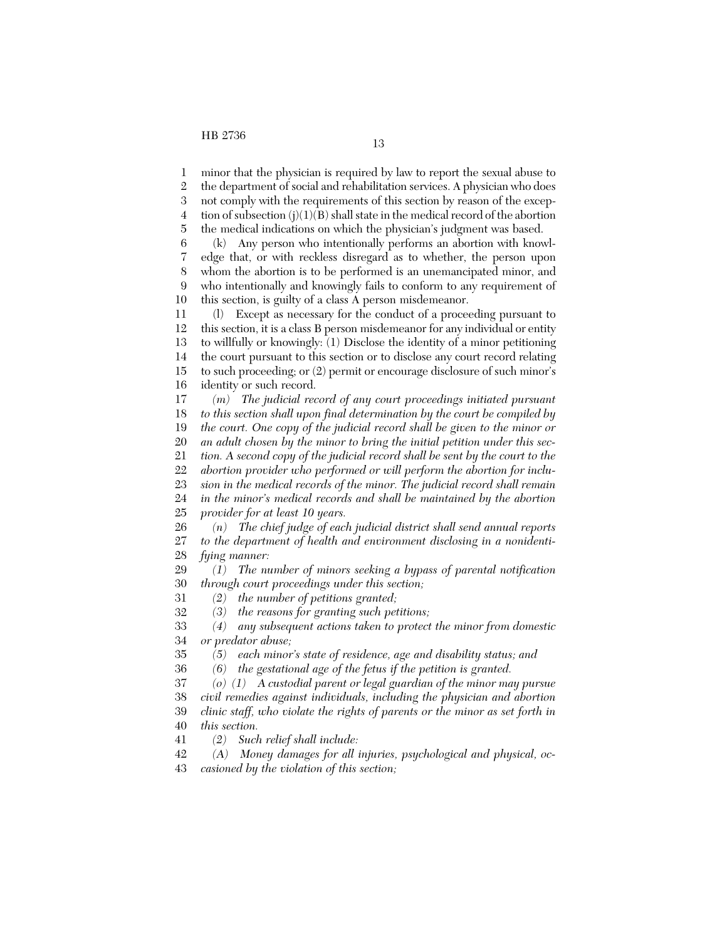1 minor that the physician is required by law to report the sexual abuse to

2 3 the department of social and rehabilitation services. A physician who does not comply with the requirements of this section by reason of the excep-

4 tion of subsection  $(j)(1)(B)$  shall state in the medical record of the abortion

5 the medical indications on which the physician's judgment was based.

6 7 8 9 10 (k) Any person who intentionally performs an abortion with knowledge that, or with reckless disregard as to whether, the person upon whom the abortion is to be performed is an unemancipated minor, and who intentionally and knowingly fails to conform to any requirement of this section, is guilty of a class A person misdemeanor.

11 12 13 14 15 16 (l) Except as necessary for the conduct of a proceeding pursuant to this section, it is a class B person misdemeanor for any individual or entity to willfully or knowingly: (1) Disclose the identity of a minor petitioning the court pursuant to this section or to disclose any court record relating to such proceeding; or (2) permit or encourage disclosure of such minor's identity or such record.

17 18 19 20 21 22 23 24 25 *(m) The judicial record of any court proceedings initiated pursuant to this section shall upon final determination by the court be compiled by the court. One copy of the judicial record shall be given to the minor or an adult chosen by the minor to bring the initial petition under this section. A second copy of the judicial record shall be sent by the court to the abortion provider who performed or will perform the abortion for inclusion in the medical records of the minor. The judicial record shall remain in the minor's medical records and shall be maintained by the abortion provider for at least 10 years.*

26 27 28 *(n) The chief judge of each judicial district shall send annual reports to the department of health and environment disclosing in a nonidentifying manner:*

29 30 *(1) The number of minors seeking a bypass of parental notification through court proceedings under this section;*

31 *(2) the number of petitions granted;*

32

*(3) the reasons for granting such petitions;*

33 34 *(4) any subsequent actions taken to protect the minor from domestic or predator abuse;*

35 *(5) each minor's state of residence, age and disability status; and*

36 *(6) the gestational age of the fetus if the petition is granted.*

37 38 39 40 *(o) (1) A custodial parent or legal guardian of the minor may pursue civil remedies against individuals, including the physician and abortion clinic staff, who violate the rights of parents or the minor as set forth in this section.*

41 *(2) Such relief shall include:*

42 43 *(A) Money damages for all injuries, psychological and physical, occasioned by the violation of this section;*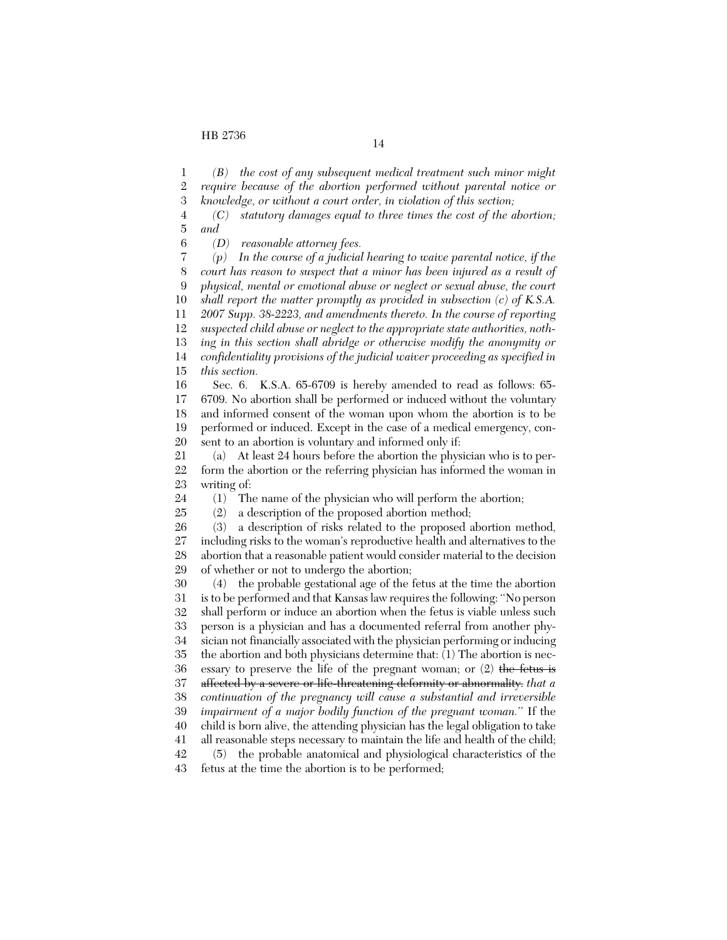24 25

1 2 3 *(B) the cost of any subsequent medical treatment such minor might require because of the abortion performed without parental notice or knowledge, or without a court order, in violation of this section;*

4 5 *(C) statutory damages equal to three times the cost of the abortion; and*

*(D) reasonable attorney fees.*

7 8 9 10 11 12 13 14 15 *(p) In the course of a judicial hearing to waive parental notice, if the court has reason to suspect that a minor has been injured as a result of physical, mental or emotional abuse or neglect or sexual abuse, the court shall report the matter promptly as provided in subsection (c) of K.S.A. 2007 Supp. 38-2223, and amendments thereto. In the course of reporting suspected child abuse or neglect to the appropriate state authorities, nothing in this section shall abridge or otherwise modify the anonymity or confidentiality provisions of the judicial waiver proceeding as specified in this section.*

16 17 18 19 20 Sec. 6. K.S.A. 65-6709 is hereby amended to read as follows: 65- 6709. No abortion shall be performed or induced without the voluntary and informed consent of the woman upon whom the abortion is to be performed or induced. Except in the case of a medical emergency, consent to an abortion is voluntary and informed only if:

21 22 23 (a) At least 24 hours before the abortion the physician who is to perform the abortion or the referring physician has informed the woman in writing of:

(1) The name of the physician who will perform the abortion;

(2) a description of the proposed abortion method;

26 27 28 29 (3) a description of risks related to the proposed abortion method, including risks to the woman's reproductive health and alternatives to the abortion that a reasonable patient would consider material to the decision of whether or not to undergo the abortion;

30 31 32 33 34 35 36 37 38 39 40 41 42 43 (4) the probable gestational age of the fetus at the time the abortion is to be performed and that Kansas law requires the following: ''No person shall perform or induce an abortion when the fetus is viable unless such person is a physician and has a documented referral from another physician not financially associated with the physician performing or inducing the abortion and both physicians determine that: (1) The abortion is necessary to preserve the life of the pregnant woman; or  $(2)$  the fetus is affected by a severe or life-threatening deformity or abnormality. *that a continuation of the pregnancy will cause a substantial and irreversible impairment of a major bodily function of the pregnant woman.*'' If the child is born alive, the attending physician has the legal obligation to take all reasonable steps necessary to maintain the life and health of the child; (5) the probable anatomical and physiological characteristics of the fetus at the time the abortion is to be performed;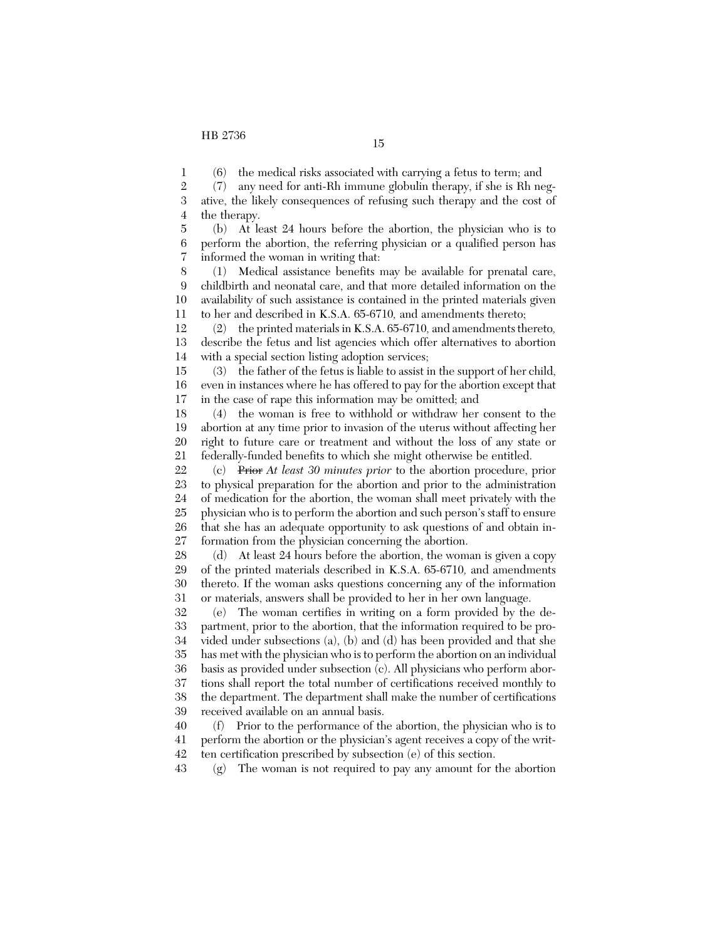(6) the medical risks associated with carrying a fetus to term; and

2 3 4 (7) any need for anti-Rh immune globulin therapy, if she is Rh negative, the likely consequences of refusing such therapy and the cost of the therapy.

5 6 7 (b) At least 24 hours before the abortion, the physician who is to perform the abortion, the referring physician or a qualified person has informed the woman in writing that:

8 9 10 11 (1) Medical assistance benefits may be available for prenatal care, childbirth and neonatal care, and that more detailed information on the availability of such assistance is contained in the printed materials given to her and described in K.S.A. 65-6710*,* and amendments thereto;

12 13 14 (2) the printed materials in K.S.A. 65-6710*,* and amendments thereto*,* describe the fetus and list agencies which offer alternatives to abortion with a special section listing adoption services;

15 16 17 (3) the father of the fetus is liable to assist in the support of her child, even in instances where he has offered to pay for the abortion except that in the case of rape this information may be omitted; and

18 19 20 21 (4) the woman is free to withhold or withdraw her consent to the abortion at any time prior to invasion of the uterus without affecting her right to future care or treatment and without the loss of any state or federally-funded benefits to which she might otherwise be entitled.

22 23 24 25 26 27 (c) Prior *At least 30 minutes prior* to the abortion procedure, prior to physical preparation for the abortion and prior to the administration of medication for the abortion, the woman shall meet privately with the physician who is to perform the abortion and such person's staff to ensure that she has an adequate opportunity to ask questions of and obtain information from the physician concerning the abortion.

28 29 30 31 (d) At least 24 hours before the abortion, the woman is given a copy of the printed materials described in K.S.A. 65-6710*,* and amendments thereto. If the woman asks questions concerning any of the information or materials, answers shall be provided to her in her own language.

32 33 34 35 36 37 38 39 (e) The woman certifies in writing on a form provided by the department, prior to the abortion, that the information required to be provided under subsections (a), (b) and (d) has been provided and that she has met with the physician who is to perform the abortion on an individual basis as provided under subsection (c). All physicians who perform abortions shall report the total number of certifications received monthly to the department. The department shall make the number of certifications received available on an annual basis.

40 41 42 (f) Prior to the performance of the abortion, the physician who is to perform the abortion or the physician's agent receives a copy of the written certification prescribed by subsection (e) of this section.

43 (g) The woman is not required to pay any amount for the abortion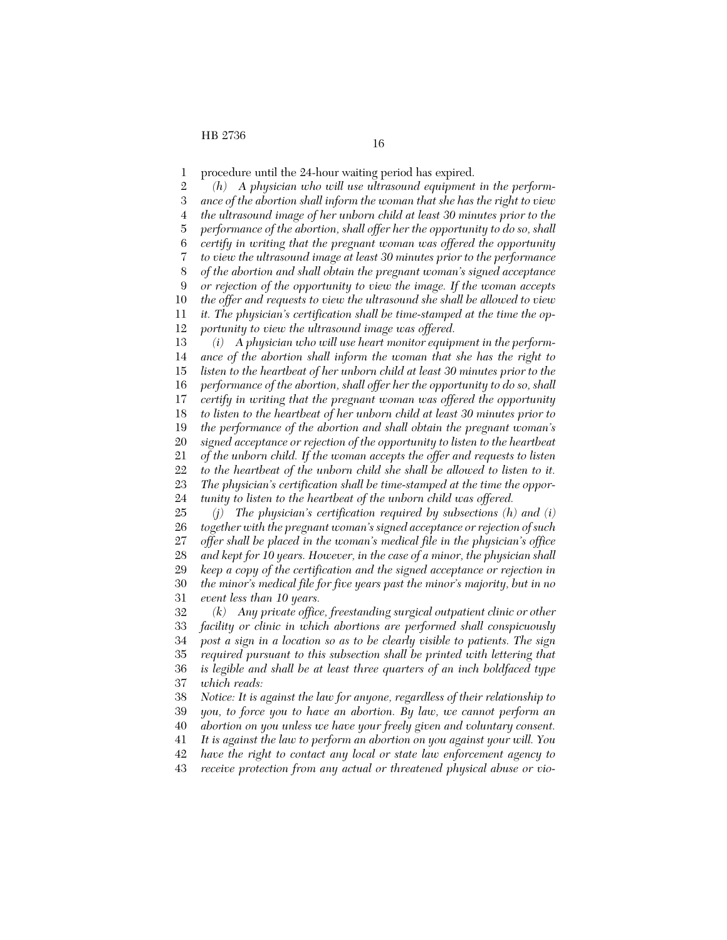1 procedure until the 24-hour waiting period has expired.

2 3 4 5 6 7 8 9 10 11 12 13 14 15 16 17 18 19 20 21 22 23 24 25 26 27 28 29 30 31 32 *(h) A physician who will use ultrasound equipment in the performance of the abortion shall inform the woman that she has the right to view the ultrasound image of her unborn child at least 30 minutes prior to the performance of the abortion, shall offer her the opportunity to do so, shall certify in writing that the pregnant woman was offered the opportunity to view the ultrasound image at least 30 minutes prior to the performance of the abortion and shall obtain the pregnant woman's signed acceptance or rejection of the opportunity to view the image. If the woman accepts the offer and requests to view the ultrasound she shall be allowed to view it. The physician's certification shall be time-stamped at the time the opportunity to view the ultrasound image was offered. (i) A physician who will use heart monitor equipment in the performance of the abortion shall inform the woman that she has the right to listen to the heartbeat of her unborn child at least 30 minutes prior to the performance of the abortion, shall offer her the opportunity to do so, shall certify in writing that the pregnant woman was offered the opportunity to listen to the heartbeat of her unborn child at least 30 minutes prior to the performance of the abortion and shall obtain the pregnant woman's signed acceptance or rejection of the opportunity to listen to the heartbeat of the unborn child. If the woman accepts the offer and requests to listen to the heartbeat of the unborn child she shall be allowed to listen to it. The physician's certification shall be time-stamped at the time the opportunity to listen to the heartbeat of the unborn child was offered. The physician's certification required by subsections (h) and (i) together with the pregnant woman's signed acceptance or rejection of such offer shall be placed in the woman's medical file in the physician's office and kept for 10 years. However, in the case of a minor, the physician shall keep a copy of the certification and the signed acceptance or rejection in the minor's medical file for five years past the minor's majority, but in no event less than 10 years. (k) Any private office, freestanding surgical outpatient clinic or other*

33 34 35 36 37 *facility or clinic in which abortions are performed shall conspicuously post a sign in a location so as to be clearly visible to patients. The sign required pursuant to this subsection shall be printed with lettering that is legible and shall be at least three quarters of an inch boldfaced type which reads:*

38 *Notice: It is against the law for anyone, regardless of their relationship to*

39 *you, to force you to have an abortion. By law, we cannot perform an*

40 41 *abortion on you unless we have your freely given and voluntary consent. It is against the law to perform an abortion on you against your will. You*

42 *have the right to contact any local or state law enforcement agency to*

43 *receive protection from any actual or threatened physical abuse or vio-*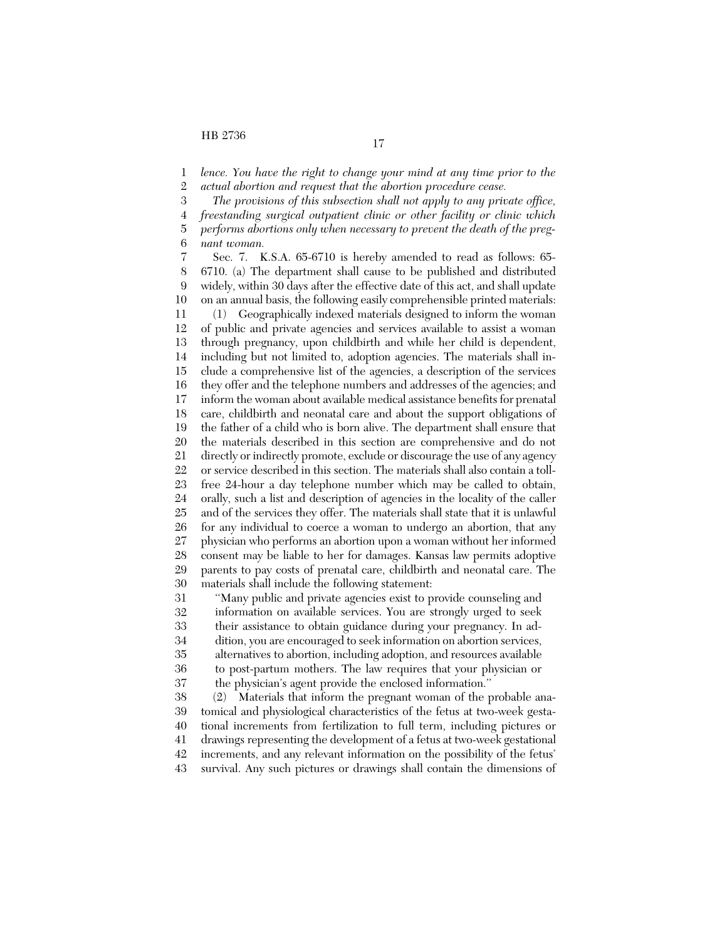1 2 *lence. You have the right to change your mind at any time prior to the actual abortion and request that the abortion procedure cease.*

3 4 5 6 *The provisions of this subsection shall not apply to any private office, freestanding surgical outpatient clinic or other facility or clinic which performs abortions only when necessary to prevent the death of the pregnant woman.*

7 8 9 10 11 12 13 14 15 16 17 18 19 20 21 22 23 Sec. 7. K.S.A. 65-6710 is hereby amended to read as follows: 65- 6710. (a) The department shall cause to be published and distributed widely, within 30 days after the effective date of this act, and shall update on an annual basis, the following easily comprehensible printed materials: (1) Geographically indexed materials designed to inform the woman of public and private agencies and services available to assist a woman through pregnancy, upon childbirth and while her child is dependent, including but not limited to, adoption agencies. The materials shall include a comprehensive list of the agencies, a description of the services they offer and the telephone numbers and addresses of the agencies; and inform the woman about available medical assistance benefits for prenatal care, childbirth and neonatal care and about the support obligations of the father of a child who is born alive. The department shall ensure that the materials described in this section are comprehensive and do not directly or indirectly promote, exclude or discourage the use of any agency or service described in this section. The materials shall also contain a tollfree 24-hour a day telephone number which may be called to obtain,

24 25 26 27 28 29 30 orally, such a list and description of agencies in the locality of the caller and of the services they offer. The materials shall state that it is unlawful for any individual to coerce a woman to undergo an abortion, that any physician who performs an abortion upon a woman without her informed consent may be liable to her for damages. Kansas law permits adoptive parents to pay costs of prenatal care, childbirth and neonatal care. The materials shall include the following statement:

31 32 33 ''Many public and private agencies exist to provide counseling and information on available services. You are strongly urged to seek their assistance to obtain guidance during your pregnancy. In ad-

34 dition, you are encouraged to seek information on abortion services,

35 alternatives to abortion, including adoption, and resources available

36 to post-partum mothers. The law requires that your physician or

37 the physician's agent provide the enclosed information.''

38 39 40 41 42 43 (2) Materials that inform the pregnant woman of the probable anatomical and physiological characteristics of the fetus at two-week gestational increments from fertilization to full term, including pictures or drawings representing the development of a fetus at two-week gestational increments, and any relevant information on the possibility of the fetus' survival. Any such pictures or drawings shall contain the dimensions of